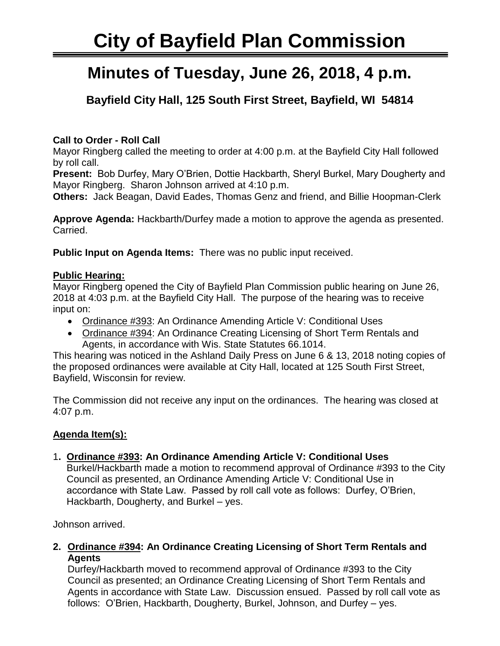# **City of Bayfield Plan Commission**

# **Minutes of Tuesday, June 26, 2018, 4 p.m.**

**Bayfield City Hall, 125 South First Street, Bayfield, WI 54814**

# **Call to Order - Roll Call**

Mayor Ringberg called the meeting to order at 4:00 p.m. at the Bayfield City Hall followed by roll call.

**Present:** Bob Durfey, Mary O'Brien, Dottie Hackbarth, Sheryl Burkel, Mary Dougherty and Mayor Ringberg. Sharon Johnson arrived at 4:10 p.m.

**Others:** Jack Beagan, David Eades, Thomas Genz and friend, and Billie Hoopman-Clerk

**Approve Agenda:** Hackbarth/Durfey made a motion to approve the agenda as presented. Carried.

**Public Input on Agenda Items:** There was no public input received.

## **Public Hearing:**

Mayor Ringberg opened the City of Bayfield Plan Commission public hearing on June 26, 2018 at 4:03 p.m. at the Bayfield City Hall. The purpose of the hearing was to receive input on:

- Ordinance #393: An Ordinance Amending Article V: Conditional Uses
- Ordinance #394: An Ordinance Creating Licensing of Short Term Rentals and Agents, in accordance with Wis. State Statutes 66.1014.

This hearing was noticed in the Ashland Daily Press on June 6 & 13, 2018 noting copies of the proposed ordinances were available at City Hall, located at 125 South First Street, Bayfield, Wisconsin for review.

The Commission did not receive any input on the ordinances. The hearing was closed at 4:07 p.m.

## **Agenda Item(s):**

## 1**. Ordinance #393: An Ordinance Amending Article V: Conditional Uses**

Burkel/Hackbarth made a motion to recommend approval of Ordinance #393 to the City Council as presented, an Ordinance Amending Article V: Conditional Use in accordance with State Law. Passed by roll call vote as follows: Durfey, O'Brien, Hackbarth, Dougherty, and Burkel – yes.

Johnson arrived.

**2. Ordinance #394: An Ordinance Creating Licensing of Short Term Rentals and Agents**

Durfey/Hackbarth moved to recommend approval of Ordinance #393 to the City Council as presented; an Ordinance Creating Licensing of Short Term Rentals and Agents in accordance with State Law. Discussion ensued. Passed by roll call vote as follows: O'Brien, Hackbarth, Dougherty, Burkel, Johnson, and Durfey – yes.